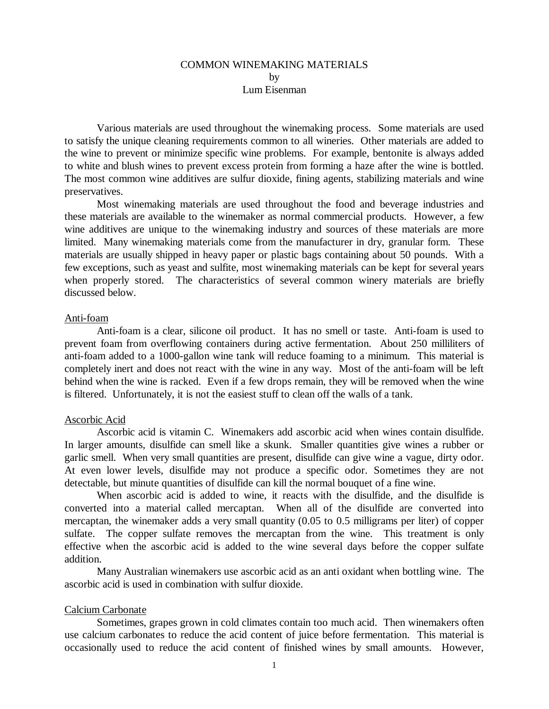# COMMON WINEMAKING MATERIALS by Lum Eisenman

Various materials are used throughout the winemaking process. Some materials are used to satisfy the unique cleaning requirements common to all wineries. Other materials are added to the wine to prevent or minimize specific wine problems. For example, bentonite is always added to white and blush wines to prevent excess protein from forming a haze after the wine is bottled. The most common wine additives are sulfur dioxide, fining agents, stabilizing materials and wine preservatives.

Most winemaking materials are used throughout the food and beverage industries and these materials are available to the winemaker as normal commercial products. However, a few wine additives are unique to the winemaking industry and sources of these materials are more limited. Many winemaking materials come from the manufacturer in dry, granular form. These materials are usually shipped in heavy paper or plastic bags containing about 50 pounds. With a few exceptions, such as yeast and sulfite, most winemaking materials can be kept for several years when properly stored. The characteristics of several common winery materials are briefly discussed below.

### Anti-foam

Anti-foam is a clear, silicone oil product. It has no smell or taste. Anti-foam is used to prevent foam from overflowing containers during active fermentation. About 250 milliliters of anti-foam added to a 1000-gallon wine tank will reduce foaming to a minimum. This material is completely inert and does not react with the wine in any way. Most of the anti-foam will be left behind when the wine is racked. Even if a few drops remain, they will be removed when the wine is filtered. Unfortunately, it is not the easiest stuff to clean off the walls of a tank.

## Ascorbic Acid

Ascorbic acid is vitamin C. Winemakers add ascorbic acid when wines contain disulfide. In larger amounts, disulfide can smell like a skunk. Smaller quantities give wines a rubber or garlic smell. When very small quantities are present, disulfide can give wine a vague, dirty odor. At even lower levels, disulfide may not produce a specific odor. Sometimes they are not detectable, but minute quantities of disulfide can kill the normal bouquet of a fine wine.

When ascorbic acid is added to wine, it reacts with the disulfide, and the disulfide is converted into a material called mercaptan. When all of the disulfide are converted into mercaptan, the winemaker adds a very small quantity (0.05 to 0.5 milligrams per liter) of copper sulfate. The copper sulfate removes the mercaptan from the wine. This treatment is only effective when the ascorbic acid is added to the wine several days before the copper sulfate addition.

Many Australian winemakers use ascorbic acid as an anti oxidant when bottling wine. The ascorbic acid is used in combination with sulfur dioxide.

## Calcium Carbonate

Sometimes, grapes grown in cold climates contain too much acid. Then winemakers often use calcium carbonates to reduce the acid content of juice before fermentation. This material is occasionally used to reduce the acid content of finished wines by small amounts. However,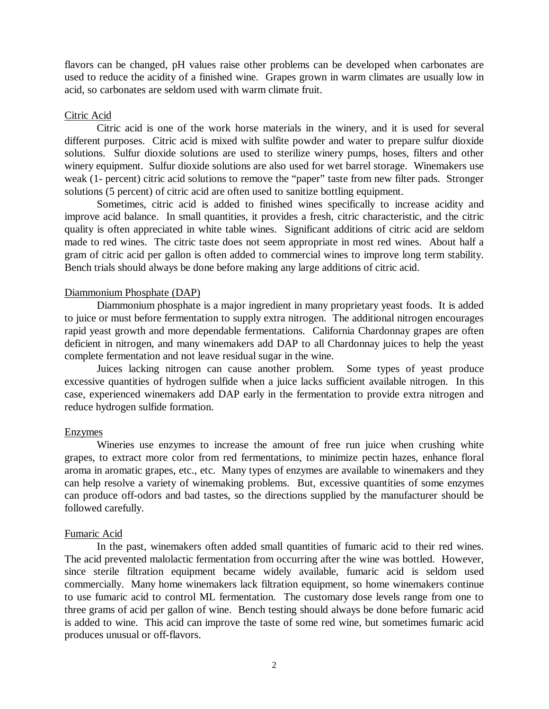flavors can be changed, pH values raise other problems can be developed when carbonates are used to reduce the acidity of a finished wine. Grapes grown in warm climates are usually low in acid, so carbonates are seldom used with warm climate fruit.

## Citric Acid

Citric acid is one of the work horse materials in the winery, and it is used for several different purposes. Citric acid is mixed with sulfite powder and water to prepare sulfur dioxide solutions. Sulfur dioxide solutions are used to sterilize winery pumps, hoses, filters and other winery equipment. Sulfur dioxide solutions are also used for wet barrel storage. Winemakers use weak (1- percent) citric acid solutions to remove the "paper" taste from new filter pads. Stronger solutions (5 percent) of citric acid are often used to sanitize bottling equipment.

Sometimes, citric acid is added to finished wines specifically to increase acidity and improve acid balance. In small quantities, it provides a fresh, citric characteristic, and the citric quality is often appreciated in white table wines. Significant additions of citric acid are seldom made to red wines. The citric taste does not seem appropriate in most red wines. About half a gram of citric acid per gallon is often added to commercial wines to improve long term stability. Bench trials should always be done before making any large additions of citric acid.

# Diammonium Phosphate (DAP)

Diammonium phosphate is a major ingredient in many proprietary yeast foods. It is added to juice or must before fermentation to supply extra nitrogen. The additional nitrogen encourages rapid yeast growth and more dependable fermentations. California Chardonnay grapes are often deficient in nitrogen, and many winemakers add DAP to all Chardonnay juices to help the yeast complete fermentation and not leave residual sugar in the wine.

Juices lacking nitrogen can cause another problem. Some types of yeast produce excessive quantities of hydrogen sulfide when a juice lacks sufficient available nitrogen. In this case, experienced winemakers add DAP early in the fermentation to provide extra nitrogen and reduce hydrogen sulfide formation.

## Enzymes

Wineries use enzymes to increase the amount of free run juice when crushing white grapes, to extract more color from red fermentations, to minimize pectin hazes, enhance floral aroma in aromatic grapes, etc., etc. Many types of enzymes are available to winemakers and they can help resolve a variety of winemaking problems. But, excessive quantities of some enzymes can produce off-odors and bad tastes, so the directions supplied by the manufacturer should be followed carefully.

# Fumaric Acid

In the past, winemakers often added small quantities of fumaric acid to their red wines. The acid prevented malolactic fermentation from occurring after the wine was bottled. However, since sterile filtration equipment became widely available, fumaric acid is seldom used commercially. Many home winemakers lack filtration equipment, so home winemakers continue to use fumaric acid to control ML fermentation. The customary dose levels range from one to three grams of acid per gallon of wine. Bench testing should always be done before fumaric acid is added to wine. This acid can improve the taste of some red wine, but sometimes fumaric acid produces unusual or off-flavors.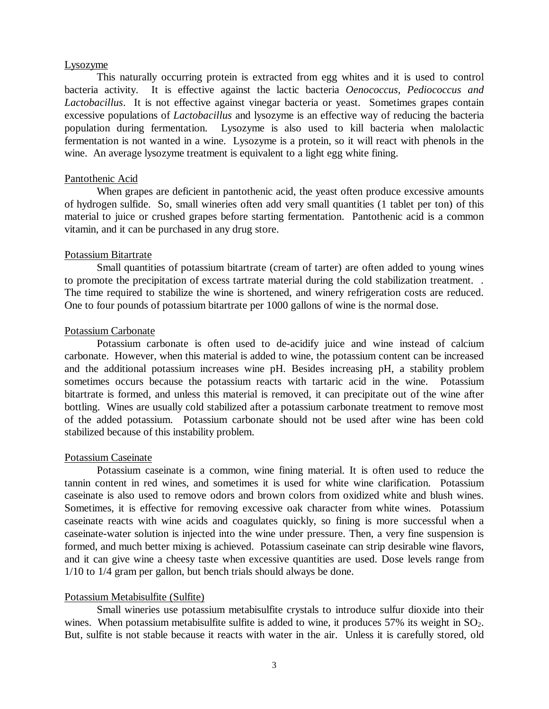### Lysozyme

This naturally occurring protein is extracted from egg whites and it is used to control bacteria activity. It is effective against the lactic bacteria *Oenococcus, Pediococcus and Lactobacillus*. It is not effective against vinegar bacteria or yeast. Sometimes grapes contain excessive populations of *Lactobacillus* and lysozyme is an effective way of reducing the bacteria population during fermentation. Lysozyme is also used to kill bacteria when malolactic fermentation is not wanted in a wine. Lysozyme is a protein, so it will react with phenols in the wine. An average lysozyme treatment is equivalent to a light egg white fining.

### Pantothenic Acid

When grapes are deficient in pantothenic acid, the yeast often produce excessive amounts of hydrogen sulfide. So, small wineries often add very small quantities (1 tablet per ton) of this material to juice or crushed grapes before starting fermentation. Pantothenic acid is a common vitamin, and it can be purchased in any drug store.

#### Potassium Bitartrate

Small quantities of potassium bitartrate (cream of tarter) are often added to young wines to promote the precipitation of excess tartrate material during the cold stabilization treatment. . The time required to stabilize the wine is shortened, and winery refrigeration costs are reduced. One to four pounds of potassium bitartrate per 1000 gallons of wine is the normal dose.

### Potassium Carbonate

Potassium carbonate is often used to de-acidify juice and wine instead of calcium carbonate. However, when this material is added to wine, the potassium content can be increased and the additional potassium increases wine pH. Besides increasing pH, a stability problem sometimes occurs because the potassium reacts with tartaric acid in the wine. Potassium bitartrate is formed, and unless this material is removed, it can precipitate out of the wine after bottling. Wines are usually cold stabilized after a potassium carbonate treatment to remove most of the added potassium. Potassium carbonate should not be used after wine has been cold stabilized because of this instability problem.

# Potassium Caseinate

Potassium caseinate is a common, wine fining material. It is often used to reduce the tannin content in red wines, and sometimes it is used for white wine clarification. Potassium caseinate is also used to remove odors and brown colors from oxidized white and blush wines. Sometimes, it is effective for removing excessive oak character from white wines. Potassium caseinate reacts with wine acids and coagulates quickly, so fining is more successful when a caseinate-water solution is injected into the wine under pressure. Then, a very fine suspension is formed, and much better mixing is achieved. Potassium caseinate can strip desirable wine flavors, and it can give wine a cheesy taste when excessive quantities are used. Dose levels range from 1/10 to 1/4 gram per gallon, but bench trials should always be done.

### Potassium Metabisulfite (Sulfite)

Small wineries use potassium metabisulfite crystals to introduce sulfur dioxide into their wines. When potassium metabisulfite sulfite is added to wine, it produces  $57\%$  its weight in  $SO<sub>2</sub>$ . But, sulfite is not stable because it reacts with water in the air. Unless it is carefully stored, old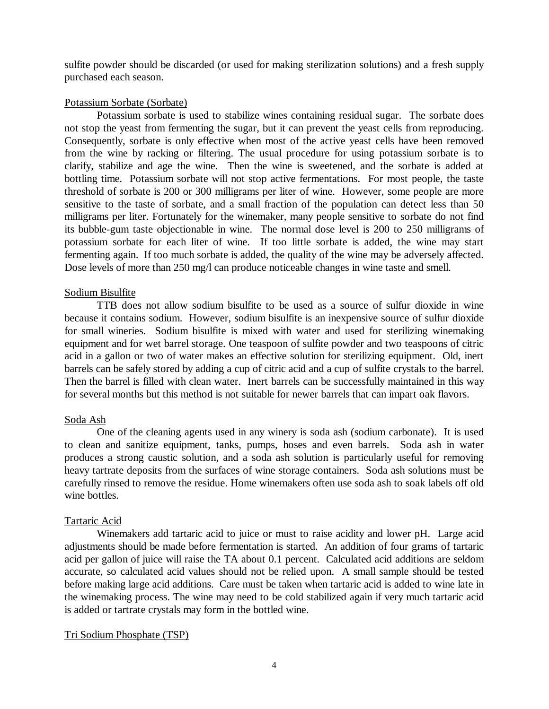sulfite powder should be discarded (or used for making sterilization solutions) and a fresh supply purchased each season.

# Potassium Sorbate (Sorbate)

Potassium sorbate is used to stabilize wines containing residual sugar. The sorbate does not stop the yeast from fermenting the sugar, but it can prevent the yeast cells from reproducing. Consequently, sorbate is only effective when most of the active yeast cells have been removed from the wine by racking or filtering. The usual procedure for using potassium sorbate is to clarify, stabilize and age the wine. Then the wine is sweetened, and the sorbate is added at bottling time. Potassium sorbate will not stop active fermentations. For most people, the taste threshold of sorbate is 200 or 300 milligrams per liter of wine. However, some people are more sensitive to the taste of sorbate, and a small fraction of the population can detect less than 50 milligrams per liter. Fortunately for the winemaker, many people sensitive to sorbate do not find its bubble-gum taste objectionable in wine. The normal dose level is 200 to 250 milligrams of potassium sorbate for each liter of wine. If too little sorbate is added, the wine may start fermenting again. If too much sorbate is added, the quality of the wine may be adversely affected. Dose levels of more than 250 mg/l can produce noticeable changes in wine taste and smell.

# Sodium Bisulfite

TTB does not allow sodium bisulfite to be used as a source of sulfur dioxide in wine because it contains sodium. However, sodium bisulfite is an inexpensive source of sulfur dioxide for small wineries. Sodium bisulfite is mixed with water and used for sterilizing winemaking equipment and for wet barrel storage. One teaspoon of sulfite powder and two teaspoons of citric acid in a gallon or two of water makes an effective solution for sterilizing equipment. Old, inert barrels can be safely stored by adding a cup of citric acid and a cup of sulfite crystals to the barrel. Then the barrel is filled with clean water. Inert barrels can be successfully maintained in this way for several months but this method is not suitable for newer barrels that can impart oak flavors.

# Soda Ash

One of the cleaning agents used in any winery is soda ash (sodium carbonate). It is used to clean and sanitize equipment, tanks, pumps, hoses and even barrels. Soda ash in water produces a strong caustic solution, and a soda ash solution is particularly useful for removing heavy tartrate deposits from the surfaces of wine storage containers. Soda ash solutions must be carefully rinsed to remove the residue. Home winemakers often use soda ash to soak labels off old wine bottles.

# Tartaric Acid

Winemakers add tartaric acid to juice or must to raise acidity and lower pH. Large acid adjustments should be made before fermentation is started. An addition of four grams of tartaric acid per gallon of juice will raise the TA about 0.1 percent. Calculated acid additions are seldom accurate, so calculated acid values should not be relied upon. A small sample should be tested before making large acid additions. Care must be taken when tartaric acid is added to wine late in the winemaking process. The wine may need to be cold stabilized again if very much tartaric acid is added or tartrate crystals may form in the bottled wine.

# Tri Sodium Phosphate (TSP)